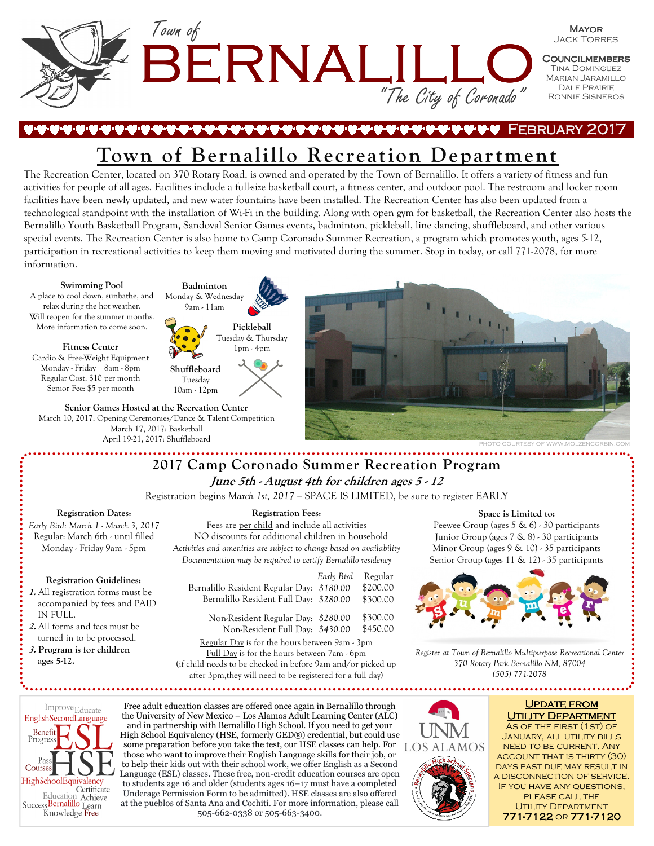

## 1-10-10-10-10-10-10-10-10-1 February 2017 February 2017

# **Town of Bernalillo Recreation Department**

The Recreation Center, located on 370 Rotary Road, is owned and operated by the Town of Bernalillo. It offers a variety of fitness and fun activities for people of all ages. Facilities include a full-size basketball court, a fitness center, and outdoor pool. The restroom and locker room facilities have been newly updated, and new water fountains have been installed. The Recreation Center has also been updated from a technological standpoint with the installation of Wi-Fi in the building. Along with open gym for basketball, the Recreation Center also hosts the Bernalillo Youth Basketball Program, Sandoval Senior Games events, badminton, pickleball, line dancing, shuffleboard, and other various special events. The Recreation Center is also home to Camp Coronado Summer Recreation, a program which promotes youth, ages 5-12, participation in recreational activities to keep them moving and motivated during the summer. Stop in today, or call 771-2078, for more information.

#### **Swimming Pool**

A place to cool down, sunbathe, and relax during the hot weather. Will reopen for the summer months. More information to come soon.

#### **Fitness Center**

Cardio & Free-Weight Equipment Monday - Friday 8am - 8pm Regular Cost: \$10 per month Senior Fee: \$5 per month

**Senior Games Hosted at the Recreation Center**  March 10, 2017: Opening Ceremonies/Dance & Talent Competition March 17, 2017: Basketball April 19-21, 2017: Shuffleboard

**Badminton**  Monday & Wednesday 9am - 11am **Pickleball**  Tuesday & Thursday 1pm - 4pm **Shuffleboard**  Tuesday 10am - 12pm



# **2017 Camp Coronado Summer Recreation Program June 5th - August 4th for children ages 5 - 12**

Registration begins *March 1st, 2017 —* SPACE IS LIMITED, be sure to register EARLY

#### **Registration Dates:**

*Early Bird: March 1 - March 3, 2017*  Regular: March 6th - until filled Monday - Friday 9am - 5pm

#### **Registration Guidelines:**

- **1.** All registration forms must be accompanied by fees and PAID IN FULL.
- **2.** All forms and fees must be turned in to be processed.
- **3. Program is for children**  a**ges 5-12.**

### **Registration Fees:**

Fees are per child and include all activities NO discounts for additional children in household *Activities and amenities are subject to change based on availability Documentation may be required to certify Bernalillo residency*

|                                                              | Early Bird | Regular  |
|--------------------------------------------------------------|------------|----------|
| Bernalillo Resident Regular Day: \$180.00                    |            | \$200.00 |
| Bernalillo Resident Full Day: \$280.00                       |            | \$300.00 |
| Non-Resident Regular Day: \$280.00                           |            | \$300.00 |
| Non-Resident Full Day: \$430.00                              |            | \$450.00 |
| Regular Day is for the hours between 9am - 3pm               |            |          |
| Full Day is for the hours between 7am - 6pm                  |            |          |
| (if child needs to be checked in before 9am and/or picked up |            |          |
|                                                              |            |          |

after 3pm,they will need to be registered for a full day)

#### **Space is Limited to:**

Peewee Group (ages 5 & 6) - 30 participants Junior Group (ages 7 & 8) - 30 participants Minor Group (ages 9 & 10) - 35 participants Senior Group (ages 11 & 12) - 35 participants



*Register at Town of Bernalillo Multipurpose Recreational Center 370 Rotary Park Bernalillo NM, 87004 (505) 771-2078* 



Free adult education classes are offered once again in Bernalillo through the University of New Mexico – Los Alamos Adult Learning Center (ALC) and in partnership with Bernalillo High School. If you need to get your High School Equivalency (HSE, formerly GED®) credential, but could use some preparation before you take the test, our HSE classes can help. For those who want to improve their English Language skills for their job, or to help their kids out with their school work, we offer English as a Second Language (ESL) classes. These free, non-credit education courses are open to students age 16 and older (students ages 16–17 must have a completed Underage Permission Form to be admitted). HSE classes are also offered at the pueblos of Santa Ana and Cochiti. For more information, please call 505-662-0338 or 505-663-3400.



### **UPDATE FROM** UTILITY DEPARTMENT

As of the first (1st) of January, all utility bills need to be current. Any account that is thirty (30) days past due may result in a disconnection of service. If you have any questions, please call the UTILITY DEPARTMENT 771-7122 or 771-7120